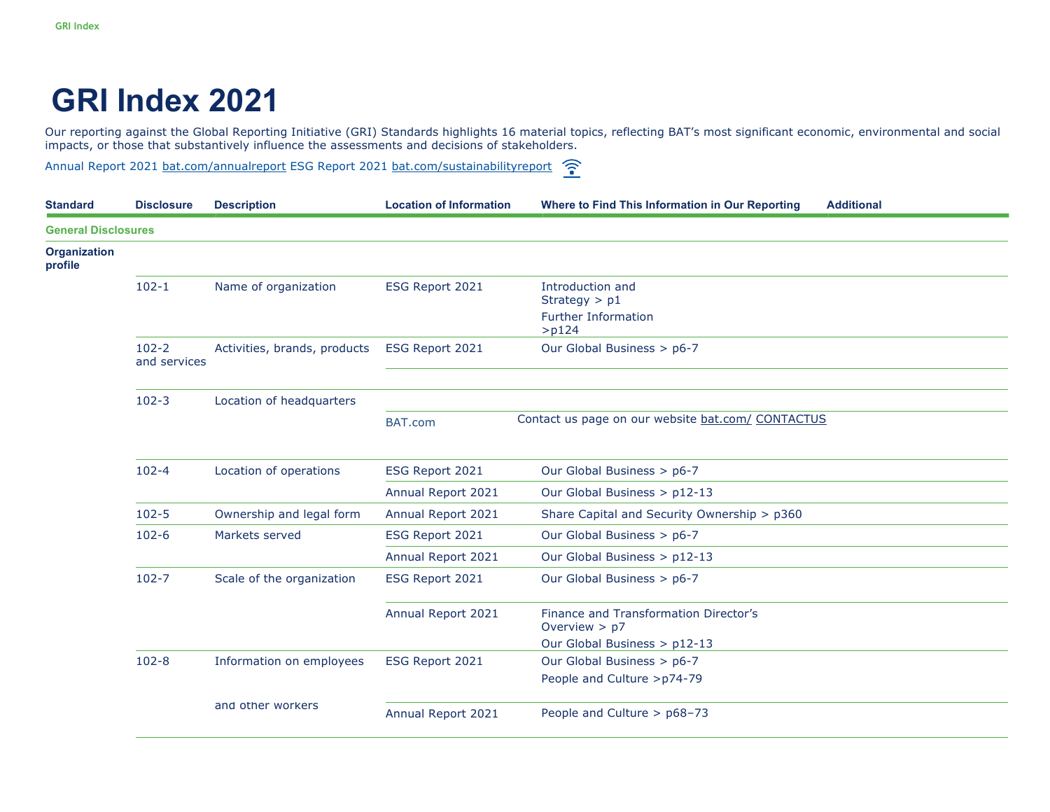## **GRI Index 2021**

Our reporting against the Global Reporting Initiative (GRI) Standards highlights 16 material topics, reflecting BAT's most significant economic, environmental and social impacts, or those that substantively influence the assessments and decisions of stakeholders.

Annual Report 2021 bat.com/annualreport ESG Report 2021 bat.com/sustainabilityreport

| <b>Standard</b>                | <b>Disclosure</b>         | <b>Description</b>           | <b>Location of Information</b> | Where to Find This Information in Our Reporting                                          | <b>Additional</b> |
|--------------------------------|---------------------------|------------------------------|--------------------------------|------------------------------------------------------------------------------------------|-------------------|
| <b>General Disclosures</b>     |                           |                              |                                |                                                                                          |                   |
| <b>Organization</b><br>profile |                           |                              |                                |                                                                                          |                   |
|                                | $102 - 1$                 | Name of organization         | ESG Report 2021                | Introduction and<br>Strategy $> p1$<br><b>Further Information</b><br>$>$ p124            |                   |
|                                | $102 - 2$<br>and services | Activities, brands, products | ESG Report 2021                | Our Global Business > p6-7                                                               |                   |
|                                | $102 - 3$                 | Location of headquarters     |                                |                                                                                          |                   |
|                                |                           |                              | BAT.com                        | Contact us page on our website bat.com/ CONTACTUS                                        |                   |
|                                | $102 - 4$                 | Location of operations       | ESG Report 2021                | Our Global Business > p6-7                                                               |                   |
|                                |                           |                              | Annual Report 2021             | Our Global Business > p12-13                                                             |                   |
|                                | $102 - 5$                 | Ownership and legal form     | Annual Report 2021             | Share Capital and Security Ownership > p360                                              |                   |
|                                | $102 - 6$                 | Markets served               | ESG Report 2021                | Our Global Business > p6-7                                                               |                   |
|                                |                           |                              | Annual Report 2021             | Our Global Business > p12-13                                                             |                   |
|                                | $102 - 7$                 | Scale of the organization    | ESG Report 2021                | Our Global Business > p6-7                                                               |                   |
|                                |                           |                              | Annual Report 2021             | Finance and Transformation Director's<br>Overview $> p7$<br>Our Global Business > p12-13 |                   |
|                                | $102 - 8$                 | Information on employees     | ESG Report 2021                | Our Global Business > p6-7<br>People and Culture >p74-79                                 |                   |
|                                |                           | and other workers            | Annual Report 2021             | People and Culture > p68-73                                                              |                   |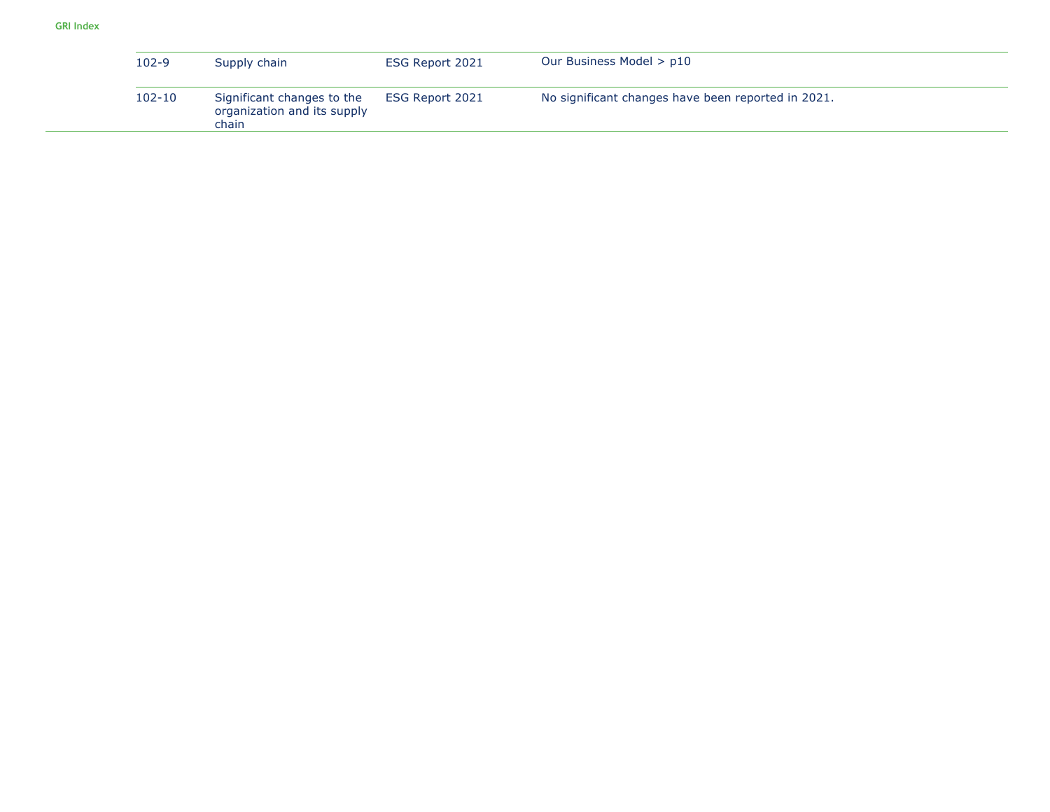| 102-9      | Supply chain                                                       | ESG Report 2021 | Our Business Model > p10                           |
|------------|--------------------------------------------------------------------|-----------------|----------------------------------------------------|
| $102 - 10$ | Significant changes to the<br>organization and its supply<br>chain | ESG Report 2021 | No significant changes have been reported in 2021. |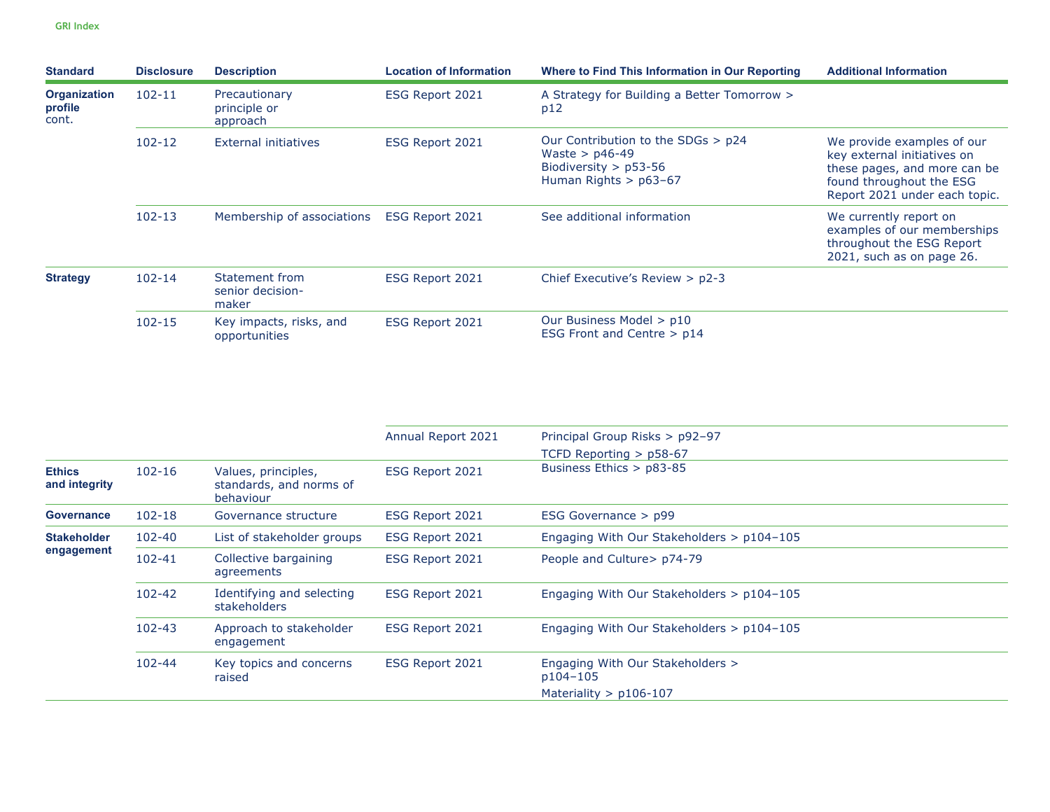| <b>Standard</b>                         | <b>Disclosure</b> | <b>Description</b>                          | <b>Location of Information</b> | Where to Find This Information in Our Reporting                                                              | <b>Additional Information</b>                                                                                                                          |
|-----------------------------------------|-------------------|---------------------------------------------|--------------------------------|--------------------------------------------------------------------------------------------------------------|--------------------------------------------------------------------------------------------------------------------------------------------------------|
| <b>Organization</b><br>profile<br>cont. | $102 - 11$        | Precautionary<br>principle or<br>approach   | ESG Report 2021                | A Strategy for Building a Better Tomorrow ><br>p12                                                           |                                                                                                                                                        |
|                                         | $102 - 12$        | External initiatives                        | ESG Report 2021                | Our Contribution to the SDGs > p24<br>Waste $>$ p46-49<br>Biodiversity $>$ p53-56<br>Human Rights $>$ p63-67 | We provide examples of our<br>key external initiatives on<br>these pages, and more can be<br>found throughout the ESG<br>Report 2021 under each topic. |
|                                         | $102 - 13$        | Membership of associations                  | ESG Report 2021                | See additional information                                                                                   | We currently report on<br>examples of our memberships<br>throughout the ESG Report<br>2021, such as on page 26.                                        |
| <b>Strategy</b>                         | $102 - 14$        | Statement from<br>senior decision-<br>maker | ESG Report 2021                | Chief Executive's Review $> p2-3$                                                                            |                                                                                                                                                        |
|                                         | $102 - 15$        | Key impacts, risks, and<br>opportunities    | ESG Report 2021                | Our Business Model > p10<br>ESG Front and Centre $> p14$                                                     |                                                                                                                                                        |

|                                  |            |                                                             | Annual Report 2021 | Principal Group Risks > p92-97<br>TCFD Reporting $>$ p58-67 |
|----------------------------------|------------|-------------------------------------------------------------|--------------------|-------------------------------------------------------------|
| <b>Ethics</b><br>and integrity   | $102 - 16$ | Values, principles,<br>standards, and norms of<br>behaviour | ESG Report 2021    | Business Ethics > p83-85                                    |
| <b>Governance</b>                | $102 - 18$ | Governance structure                                        | ESG Report 2021    | ESG Governance $>$ p99                                      |
| <b>Stakeholder</b><br>engagement | 102-40     | List of stakeholder groups                                  | ESG Report 2021    | Engaging With Our Stakeholders > p104-105                   |
|                                  | $102 - 41$ | Collective bargaining<br>agreements                         | ESG Report 2021    | People and Culture > p74-79                                 |
|                                  | $102 - 42$ | Identifying and selecting<br>stakeholders                   | ESG Report 2021    | Engaging With Our Stakeholders > p104-105                   |
|                                  | $102 - 43$ | Approach to stakeholder<br>engagement                       | ESG Report 2021    | Engaging With Our Stakeholders > p104-105                   |
|                                  | $102 - 44$ | Key topics and concerns<br>raised                           | ESG Report 2021    | Engaging With Our Stakeholders ><br>p104-105                |
|                                  |            |                                                             |                    | Materiality $>$ p106-107                                    |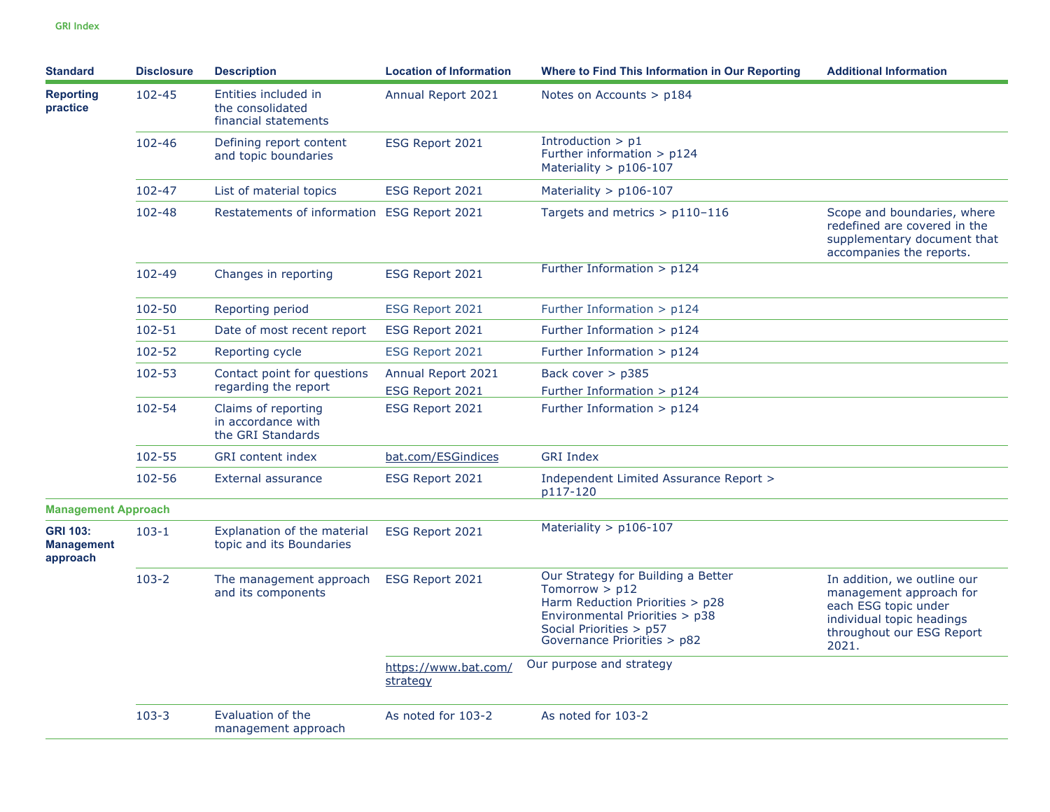| <b>Standard</b>                                  | <b>Disclosure</b> | <b>Description</b>                                               | <b>Location of Information</b>        | Where to Find This Information in Our Reporting                                                                                                                                       | <b>Additional Information</b>                                                                                                                     |
|--------------------------------------------------|-------------------|------------------------------------------------------------------|---------------------------------------|---------------------------------------------------------------------------------------------------------------------------------------------------------------------------------------|---------------------------------------------------------------------------------------------------------------------------------------------------|
| <b>Reporting</b><br>practice                     | 102-45            | Entities included in<br>the consolidated<br>financial statements | Annual Report 2021                    | Notes on Accounts $>$ p184                                                                                                                                                            |                                                                                                                                                   |
|                                                  | 102-46            | Defining report content<br>and topic boundaries                  | ESG Report 2021                       | Introduction $> p1$<br>Further information $> p124$<br>Materiality $>$ p106-107                                                                                                       |                                                                                                                                                   |
|                                                  | $102 - 47$        | List of material topics                                          | ESG Report 2021                       | Materiality $>$ p106-107                                                                                                                                                              |                                                                                                                                                   |
|                                                  | $102 - 48$        | Restatements of information ESG Report 2021                      |                                       | Targets and metrics $> p110-116$                                                                                                                                                      | Scope and boundaries, where<br>redefined are covered in the<br>supplementary document that<br>accompanies the reports.                            |
|                                                  | 102-49            | Changes in reporting                                             | ESG Report 2021                       | Further Information $> p124$                                                                                                                                                          |                                                                                                                                                   |
|                                                  | 102-50            | Reporting period                                                 | ESG Report 2021                       | Further Information $> p124$                                                                                                                                                          |                                                                                                                                                   |
|                                                  | 102-51            | Date of most recent report                                       | ESG Report 2021                       | Further Information $>$ p124                                                                                                                                                          |                                                                                                                                                   |
|                                                  | 102-52            | Reporting cycle                                                  | ESG Report 2021                       | Further Information $> p124$                                                                                                                                                          |                                                                                                                                                   |
|                                                  | $102 - 53$        | Contact point for questions<br>regarding the report              | Annual Report 2021<br>ESG Report 2021 | Back cover $>$ p385<br>Further Information $>$ p124                                                                                                                                   |                                                                                                                                                   |
|                                                  | 102-54            | Claims of reporting<br>in accordance with<br>the GRI Standards   | ESG Report 2021                       | Further Information $> p124$                                                                                                                                                          |                                                                                                                                                   |
|                                                  | 102-55            | <b>GRI</b> content index                                         | bat.com/ESGindices                    | <b>GRI Index</b>                                                                                                                                                                      |                                                                                                                                                   |
|                                                  | 102-56            | External assurance                                               | ESG Report 2021                       | Independent Limited Assurance Report ><br>p117-120                                                                                                                                    |                                                                                                                                                   |
| <b>Management Approach</b>                       |                   |                                                                  |                                       |                                                                                                                                                                                       |                                                                                                                                                   |
| <b>GRI 103:</b><br><b>Management</b><br>approach | $103 - 1$         | Explanation of the material<br>topic and its Boundaries          | ESG Report 2021                       | Materiality $>$ p106-107                                                                                                                                                              |                                                                                                                                                   |
|                                                  | $103 - 2$         | The management approach<br>and its components                    | ESG Report 2021                       | Our Strategy for Building a Better<br>Tomorrow $>$ p12<br>Harm Reduction Priorities > p28<br>Environmental Priorities > p38<br>Social Priorities > p57<br>Governance Priorities > p82 | In addition, we outline our<br>management approach for<br>each ESG topic under<br>individual topic headings<br>throughout our ESG Report<br>2021. |
|                                                  |                   |                                                                  | https://www.bat.com/<br>strategy      | Our purpose and strategy                                                                                                                                                              |                                                                                                                                                   |
|                                                  | $103 - 3$         | Evaluation of the<br>management approach                         | As noted for 103-2                    | As noted for 103-2                                                                                                                                                                    |                                                                                                                                                   |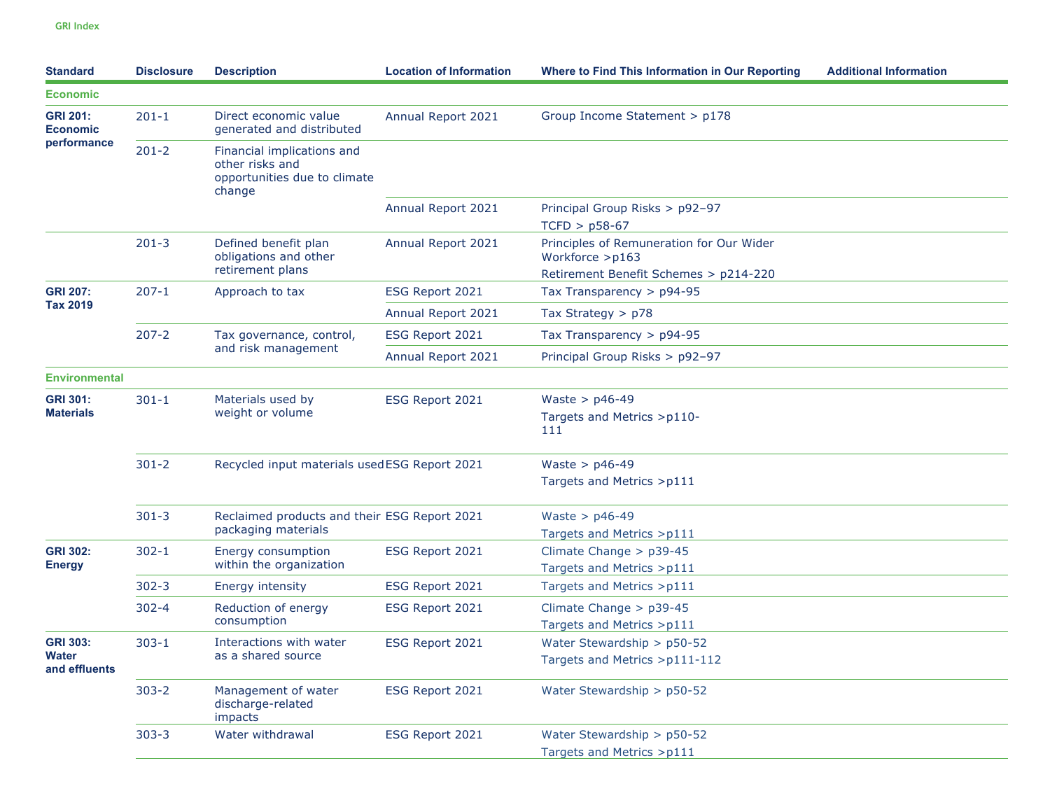| <b>Standard</b>                           | <b>Disclosure</b> | <b>Description</b>                                                                      | <b>Location of Information</b> | <b>Where to Find This Information in Our Reporting</b>                                               | <b>Additional Information</b> |
|-------------------------------------------|-------------------|-----------------------------------------------------------------------------------------|--------------------------------|------------------------------------------------------------------------------------------------------|-------------------------------|
| <b>Economic</b>                           |                   |                                                                                         |                                |                                                                                                      |                               |
| <b>GRI 201:</b><br><b>Economic</b>        | $201 - 1$         | Direct economic value<br>generated and distributed                                      | Annual Report 2021             | Group Income Statement > p178                                                                        |                               |
| performance                               | $201 - 2$         | Financial implications and<br>other risks and<br>opportunities due to climate<br>change |                                |                                                                                                      |                               |
|                                           |                   |                                                                                         | Annual Report 2021             | Principal Group Risks > p92-97<br>$TCFD > p58-67$                                                    |                               |
|                                           | $201 - 3$         | Defined benefit plan<br>obligations and other<br>retirement plans                       | Annual Report 2021             | Principles of Remuneration for Our Wider<br>Workforce >p163<br>Retirement Benefit Schemes > p214-220 |                               |
| <b>GRI 207:</b>                           | $207 - 1$         | Approach to tax                                                                         | ESG Report 2021                | Tax Transparency > p94-95                                                                            |                               |
| <b>Tax 2019</b>                           |                   |                                                                                         | Annual Report 2021             | Tax Strategy $> p78$                                                                                 |                               |
|                                           | $207 - 2$         | Tax governance, control,                                                                | ESG Report 2021                | Tax Transparency $>$ p94-95                                                                          |                               |
|                                           |                   | and risk management                                                                     | Annual Report 2021             | Principal Group Risks > p92-97                                                                       |                               |
| <b>Environmental</b>                      |                   |                                                                                         |                                |                                                                                                      |                               |
| <b>GRI 301:</b><br><b>Materials</b>       | $301 - 1$         | Materials used by<br>weight or volume                                                   | ESG Report 2021                | Waste > $p46-49$<br>Targets and Metrics >p110-<br>111                                                |                               |
|                                           | $301 - 2$         | Recycled input materials usedESG Report 2021                                            |                                | Waste > $p46-49$<br>Targets and Metrics >p111                                                        |                               |
|                                           | $301 - 3$         | Reclaimed products and their ESG Report 2021<br>packaging materials                     |                                | Waste > $p46-49$<br>Targets and Metrics > p111                                                       |                               |
| <b>GRI 302:</b><br><b>Energy</b>          | $302 - 1$         | Energy consumption<br>within the organization                                           | ESG Report 2021                | Climate Change > p39-45<br>Targets and Metrics >p111                                                 |                               |
|                                           | $302 - 3$         | <b>Energy intensity</b>                                                                 | ESG Report 2021                | Targets and Metrics >p111                                                                            |                               |
|                                           | $302 - 4$         | Reduction of energy<br>consumption                                                      | ESG Report 2021                | Climate Change $>$ p39-45<br>Targets and Metrics >p111                                               |                               |
| <b>GRI 303:</b><br>Water<br>and effluents | $303 - 1$         | Interactions with water<br>as a shared source                                           | ESG Report 2021                | Water Stewardship > p50-52<br>Targets and Metrics >p111-112                                          |                               |
|                                           | $303 - 2$         | Management of water<br>discharge-related<br>impacts                                     | ESG Report 2021                | Water Stewardship > p50-52                                                                           |                               |
|                                           | $303 - 3$         | Water withdrawal                                                                        | ESG Report 2021                | Water Stewardship > p50-52<br>Targets and Metrics >p111                                              |                               |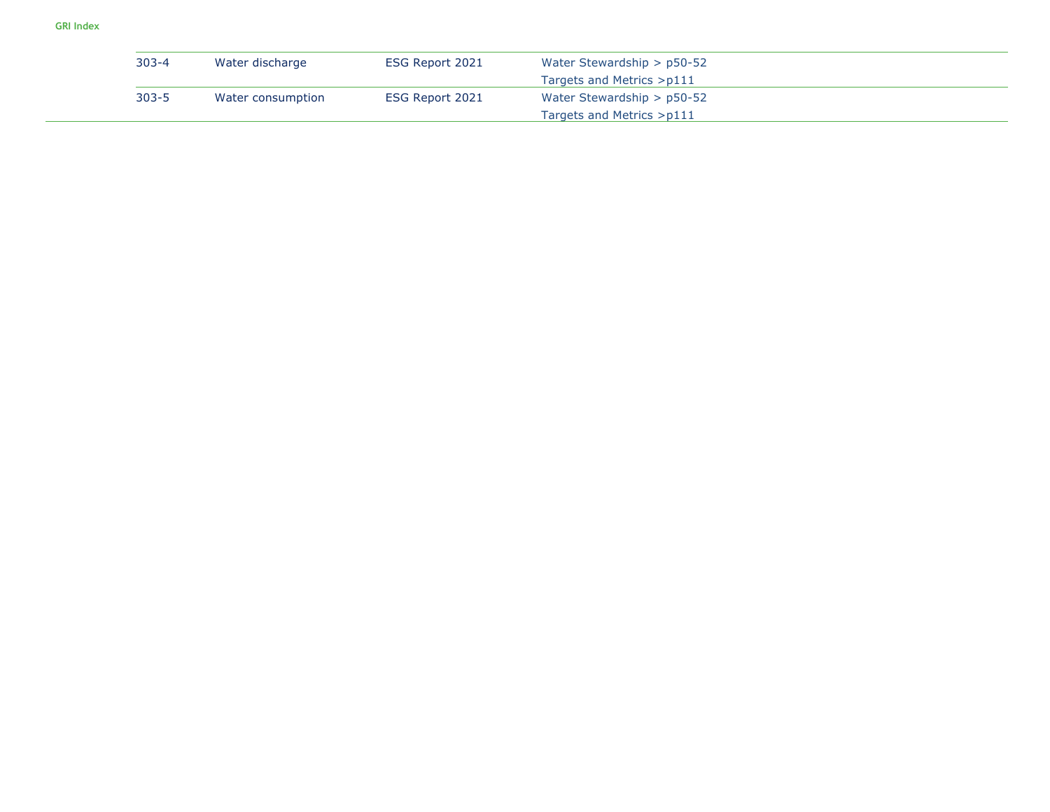| $303 - 4$ | Water discharge   | ESG Report 2021 | Water Stewardship $>$ p50-52 |
|-----------|-------------------|-----------------|------------------------------|
|           |                   |                 | Targets and Metrics >p111    |
| $303 - 5$ | Water consumption | ESG Report 2021 | Water Stewardship $>$ p50-52 |
|           |                   |                 | Targets and Metrics >p111    |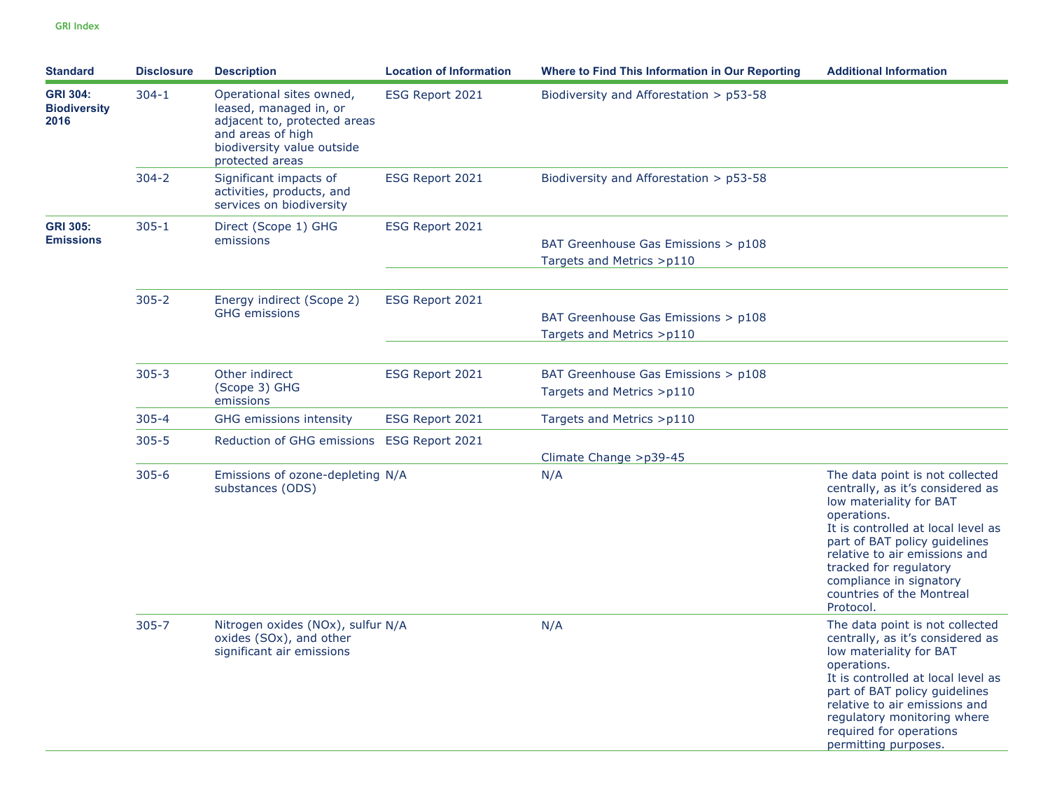| <b>Standard</b>                                | <b>Disclosure</b> | <b>Description</b>                                                                                                                                       | <b>Location of Information</b> | Where to Find This Information in Our Reporting                  | <b>Additional Information</b>                                                                                                                                                                                                                                                                                        |
|------------------------------------------------|-------------------|----------------------------------------------------------------------------------------------------------------------------------------------------------|--------------------------------|------------------------------------------------------------------|----------------------------------------------------------------------------------------------------------------------------------------------------------------------------------------------------------------------------------------------------------------------------------------------------------------------|
| <b>GRI 304:</b><br><b>Biodiversity</b><br>2016 | $304 - 1$         | Operational sites owned,<br>leased, managed in, or<br>adjacent to, protected areas<br>and areas of high<br>biodiversity value outside<br>protected areas | ESG Report 2021                | Biodiversity and Afforestation $>$ p53-58                        |                                                                                                                                                                                                                                                                                                                      |
|                                                | $304 - 2$         | Significant impacts of<br>activities, products, and<br>services on biodiversity                                                                          | ESG Report 2021                | Biodiversity and Afforestation $>$ p53-58                        |                                                                                                                                                                                                                                                                                                                      |
| <b>GRI 305:</b><br><b>Emissions</b>            | $305 - 1$         | Direct (Scope 1) GHG<br>emissions                                                                                                                        | ESG Report 2021                | BAT Greenhouse Gas Emissions > p108<br>Targets and Metrics >p110 |                                                                                                                                                                                                                                                                                                                      |
|                                                | $305 - 2$         | Energy indirect (Scope 2)<br><b>GHG emissions</b>                                                                                                        | ESG Report 2021                | BAT Greenhouse Gas Emissions > p108<br>Targets and Metrics >p110 |                                                                                                                                                                                                                                                                                                                      |
|                                                | $305 - 3$         | Other indirect<br>(Scope 3) GHG<br>emissions                                                                                                             | ESG Report 2021                | BAT Greenhouse Gas Emissions > p108<br>Targets and Metrics >p110 |                                                                                                                                                                                                                                                                                                                      |
|                                                | $305 - 4$         | <b>GHG</b> emissions intensity                                                                                                                           | ESG Report 2021                | Targets and Metrics >p110                                        |                                                                                                                                                                                                                                                                                                                      |
|                                                | $305 - 5$         | Reduction of GHG emissions ESG Report 2021                                                                                                               |                                | Climate Change > p39-45                                          |                                                                                                                                                                                                                                                                                                                      |
|                                                | $305 - 6$         | Emissions of ozone-depleting N/A<br>substances (ODS)                                                                                                     |                                | N/A                                                              | The data point is not collected<br>centrally, as it's considered as<br>low materiality for BAT<br>operations.<br>It is controlled at local level as<br>part of BAT policy guidelines<br>relative to air emissions and<br>tracked for regulatory<br>compliance in signatory<br>countries of the Montreal<br>Protocol. |
|                                                | $305 - 7$         | Nitrogen oxides (NOx), sulfur N/A<br>oxides (SOx), and other<br>significant air emissions                                                                |                                | N/A                                                              | The data point is not collected<br>centrally, as it's considered as<br>low materiality for BAT<br>operations.<br>It is controlled at local level as<br>part of BAT policy guidelines<br>relative to air emissions and<br>regulatory monitoring where<br>required for operations<br>permitting purposes.              |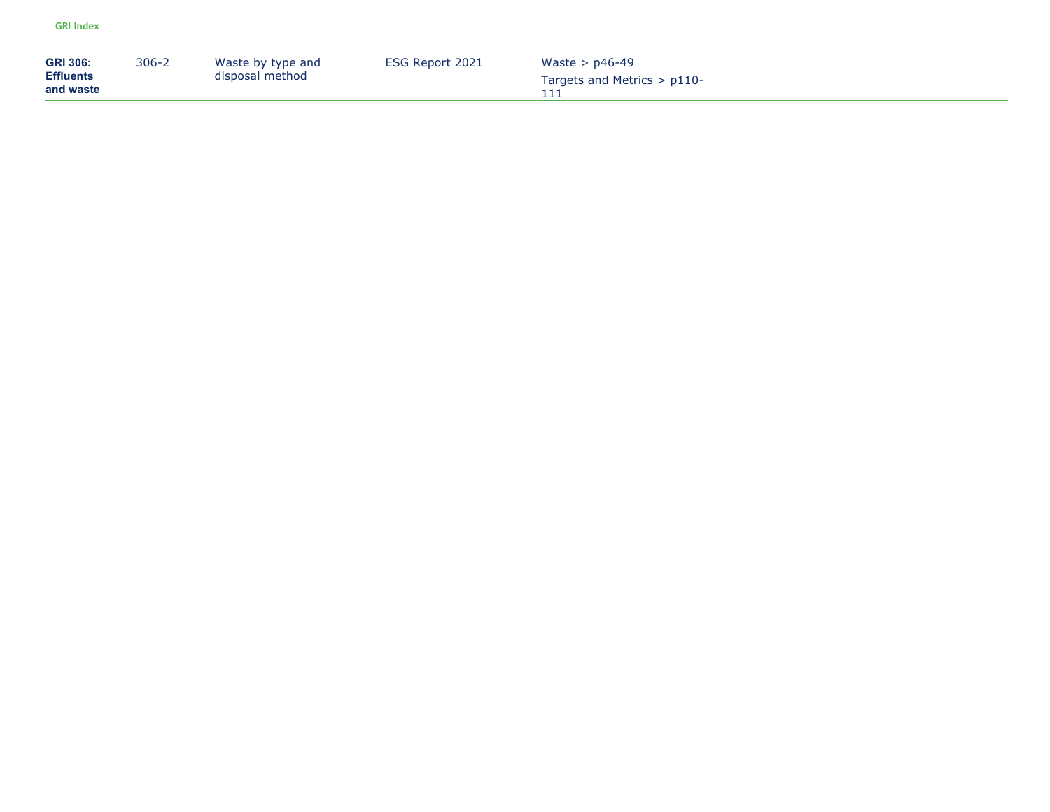| <b>GRI 306:</b><br><b>Effluents</b><br>and waste | $306 - 2$ | Waste by type and<br>disposal method | ESG Report 2021 | Waste $>$ p46-49<br>Targets and Metrics $> p110$ - |
|--------------------------------------------------|-----------|--------------------------------------|-----------------|----------------------------------------------------|
|                                                  |           |                                      |                 |                                                    |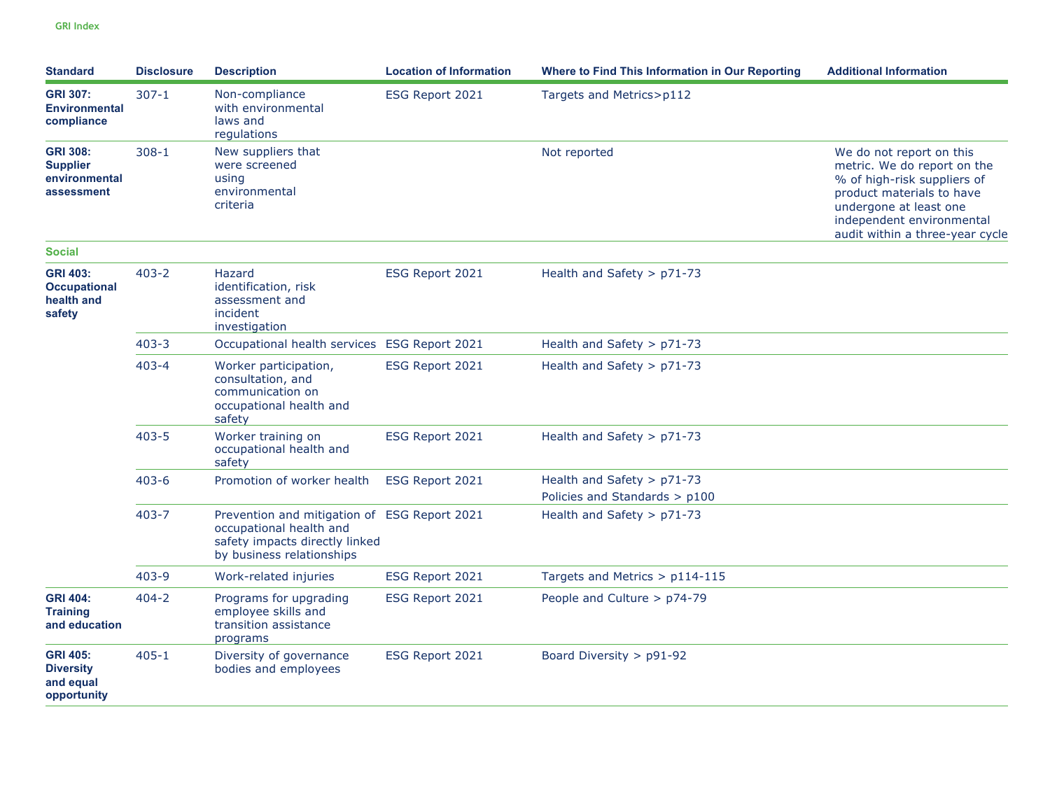| <b>Standard</b>                                                   | <b>Disclosure</b> | <b>Description</b>                                                                                                                     | <b>Location of Information</b> | Where to Find This Information in Our Reporting | <b>Additional Information</b>                                                                                                                                                                                 |
|-------------------------------------------------------------------|-------------------|----------------------------------------------------------------------------------------------------------------------------------------|--------------------------------|-------------------------------------------------|---------------------------------------------------------------------------------------------------------------------------------------------------------------------------------------------------------------|
| <b>GRI 307:</b><br><b>Environmental</b><br>compliance             | $307 - 1$         | Non-compliance<br>with environmental<br>laws and<br>regulations                                                                        | ESG Report 2021                | Targets and Metrics>p112                        |                                                                                                                                                                                                               |
| <b>GRI 308:</b><br><b>Supplier</b><br>environmental<br>assessment | $308 - 1$         | New suppliers that<br>were screened<br>using<br>environmental<br>criteria                                                              |                                | Not reported                                    | We do not report on this<br>metric. We do report on the<br>% of high-risk suppliers of<br>product materials to have<br>undergone at least one<br>independent environmental<br>audit within a three-year cycle |
| <b>Social</b>                                                     |                   |                                                                                                                                        |                                |                                                 |                                                                                                                                                                                                               |
| <b>GRI 403:</b><br><b>Occupational</b><br>health and<br>safety    | $403 - 2$         | Hazard<br>identification, risk<br>assessment and<br>incident<br>investigation                                                          | ESG Report 2021                | Health and Safety > p71-73                      |                                                                                                                                                                                                               |
|                                                                   | $403 - 3$         | Occupational health services ESG Report 2021                                                                                           |                                | Health and Safety > p71-73                      |                                                                                                                                                                                                               |
|                                                                   | $403 - 4$         | Worker participation,<br>consultation, and<br>communication on<br>occupational health and<br>safety                                    | ESG Report 2021                | Health and Safety $>$ p71-73                    |                                                                                                                                                                                                               |
|                                                                   | $403 - 5$         | Worker training on<br>occupational health and<br>safety                                                                                | ESG Report 2021                | Health and Safety > p71-73                      |                                                                                                                                                                                                               |
|                                                                   | $403 - 6$         | Promotion of worker health                                                                                                             | ESG Report 2021                | Health and Safety > p71-73                      |                                                                                                                                                                                                               |
|                                                                   |                   |                                                                                                                                        |                                | Policies and Standards > p100                   |                                                                                                                                                                                                               |
|                                                                   | $403 - 7$         | Prevention and mitigation of ESG Report 2021<br>occupational health and<br>safety impacts directly linked<br>by business relationships |                                | Health and Safety $>$ p71-73                    |                                                                                                                                                                                                               |
|                                                                   | $403 - 9$         | Work-related injuries                                                                                                                  | ESG Report 2021                | Targets and Metrics > p114-115                  |                                                                                                                                                                                                               |
| <b>GRI 404:</b><br><b>Training</b><br>and education               | $404 - 2$         | Programs for upgrading<br>employee skills and<br>transition assistance<br>programs                                                     | ESG Report 2021                | People and Culture > p74-79                     |                                                                                                                                                                                                               |
| <b>GRI 405:</b><br><b>Diversity</b><br>and equal<br>opportunity   | $405 - 1$         | Diversity of governance<br>bodies and employees                                                                                        | ESG Report 2021                | Board Diversity > p91-92                        |                                                                                                                                                                                                               |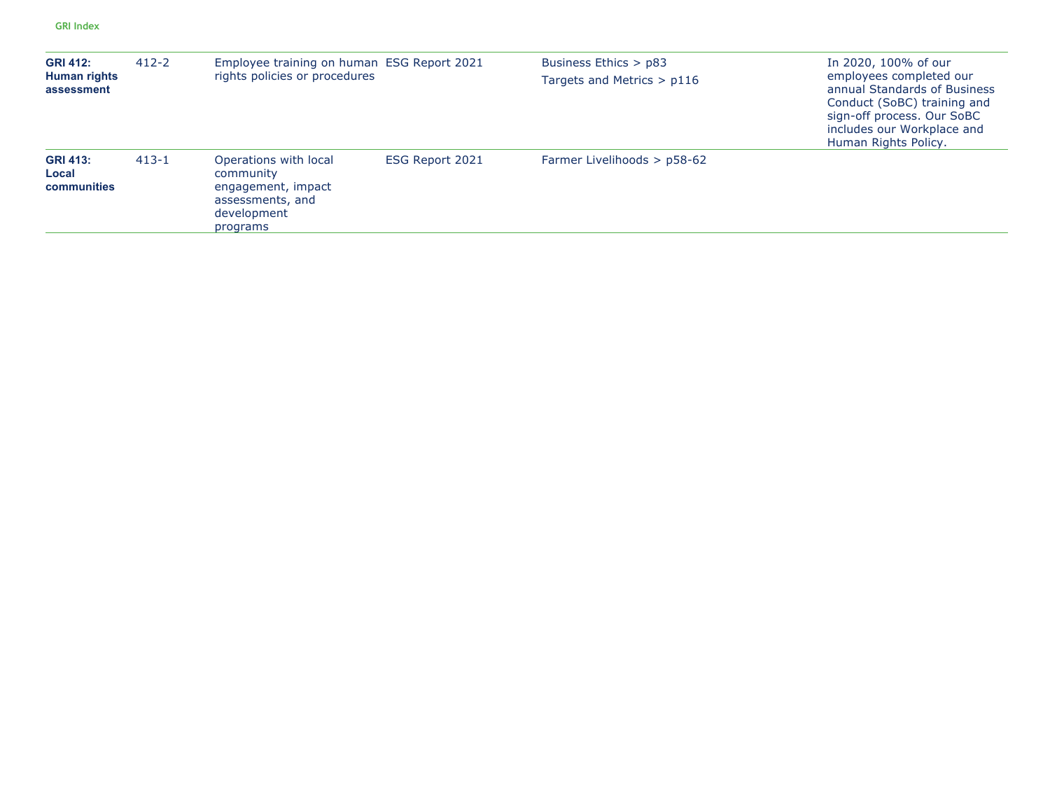| <b>GRI 412:</b><br>Human rights<br>assessment | $412 - 2$ | Employee training on human ESG Report 2021<br>rights policies or procedures                             |                 | Business Ethics > p83<br>Targets and Metrics $> p116$ | In 2020, 100% of our<br>employees completed our<br>annual Standards of Business<br>Conduct (SoBC) training and<br>sign-off process. Our SoBC<br>includes our Workplace and<br>Human Rights Policy. |
|-----------------------------------------------|-----------|---------------------------------------------------------------------------------------------------------|-----------------|-------------------------------------------------------|----------------------------------------------------------------------------------------------------------------------------------------------------------------------------------------------------|
| <b>GRI 413:</b><br>Local<br>communities       | $413 - 1$ | Operations with local<br>community<br>engagement, impact<br>assessments, and<br>development<br>programs | ESG Report 2021 | Farmer Livelihoods > p58-62                           |                                                                                                                                                                                                    |